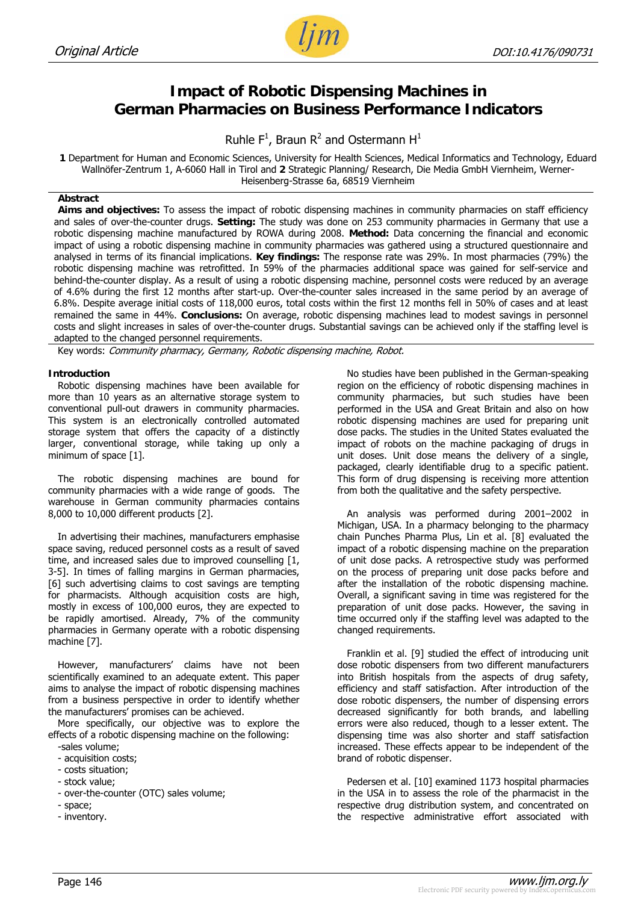

# **Impact of Robotic Dispensing Machines in German Pharmacies on Business Performance Indicators**

Ruhle  $F^1$ , Braun R<sup>2</sup> and Ostermann H<sup>1</sup>

**1** Department for Human and Economic Sciences, University for Health Sciences, Medical Informatics and Technology, Eduard Wallnöfer-Zentrum 1, A-6060 Hall in Tirol and **2** Strategic Planning/ Research, Die Media GmbH Viernheim, Werner-Heisenberg-Strasse 6a, 68519 Viernheim

#### **Abstract**

**Aims and objectives:** To assess the impact of robotic dispensing machines in community pharmacies on staff efficiency and sales of over-the-counter drugs. **Setting:** The study was done on 253 community pharmacies in Germany that use a robotic dispensing machine manufactured by ROWA during 2008. **Method:** Data concerning the financial and economic impact of using a robotic dispensing machine in community pharmacies was gathered using a structured questionnaire and analysed in terms of its financial implications. **Key findings:** The response rate was 29%. In most pharmacies (79%) the robotic dispensing machine was retrofitted. In 59% of the pharmacies additional space was gained for self-service and behind-the-counter display. As a result of using a robotic dispensing machine, personnel costs were reduced by an average of 4.6% during the first 12 months after start-up. Over-the-counter sales increased in the same period by an average of 6.8%. Despite average initial costs of 118,000 euros, total costs within the first 12 months fell in 50% of cases and at least remained the same in 44%. **Conclusions:** On average, robotic dispensing machines lead to modest savings in personnel costs and slight increases in sales of over-the-counter drugs. Substantial savings can be achieved only if the staffing level is adapted to the changed personnel requirements.

Key words: Community pharmacy, Germany, Robotic dispensing machine, Robot.

#### **Introduction**

Robotic dispensing machines have been available for more than 10 years as an alternative storage system to conventional pull-out drawers in community pharmacies. This system is an electronically controlled automated storage system that offers the capacity of a distinctly larger, conventional storage, while taking up only a minimum of space [1].

The robotic dispensing machines are bound for community pharmacies with a wide range of goods. The warehouse in German community pharmacies contains 8,000 to 10,000 different products [2].

In advertising their machines, manufacturers emphasise space saving, reduced personnel costs as a result of saved time, and increased sales due to improved counselling [1, 3-5]. In times of falling margins in German pharmacies, [6] such advertising claims to cost savings are tempting for pharmacists. Although acquisition costs are high, mostly in excess of 100,000 euros, they are expected to be rapidly amortised. Already, 7% of the community pharmacies in Germany operate with a robotic dispensing machine [7].

However, manufacturers' claims have not been scientifically examined to an adequate extent. This paper aims to analyse the impact of robotic dispensing machines from a business perspective in order to identify whether the manufacturers' promises can be achieved.

More specifically, our objective was to explore the effects of a robotic dispensing machine on the following:

-sales volume;

- acquisition costs;
- costs situation; - stock value;
- over-the-counter (OTC) sales volume;
- space;
- inventory.

No studies have been published in the German-speaking region on the efficiency of robotic dispensing machines in community pharmacies, but such studies have been performed in the USA and Great Britain and also on how robotic dispensing machines are used for preparing unit dose packs. The studies in the United States evaluated the impact of robots on the machine packaging of drugs in unit doses. Unit dose means the delivery of a single, packaged, clearly identifiable drug to a specific patient. This form of drug dispensing is receiving more attention from both the qualitative and the safety perspective.

An analysis was performed during 2001–2002 in Michigan, USA. In a pharmacy belonging to the pharmacy chain Punches Pharma Plus, Lin et al. [8] evaluated the impact of a robotic dispensing machine on the preparation of unit dose packs. A retrospective study was performed on the process of preparing unit dose packs before and after the installation of the robotic dispensing machine. Overall, a significant saving in time was registered for the preparation of unit dose packs. However, the saving in time occurred only if the staffing level was adapted to the changed requirements.

Franklin et al. [9] studied the effect of introducing unit dose robotic dispensers from two different manufacturers into British hospitals from the aspects of drug safety, efficiency and staff satisfaction. After introduction of the dose robotic dispensers, the number of dispensing errors decreased significantly for both brands, and labelling errors were also reduced, though to a lesser extent. The dispensing time was also shorter and staff satisfaction increased. These effects appear to be independent of the brand of robotic dispenser.

Pedersen et al. [10] examined 1173 hospital pharmacies in the USA in to assess the role of the pharmacist in the respective drug distribution system, and concentrated on the respective administrative effort associated with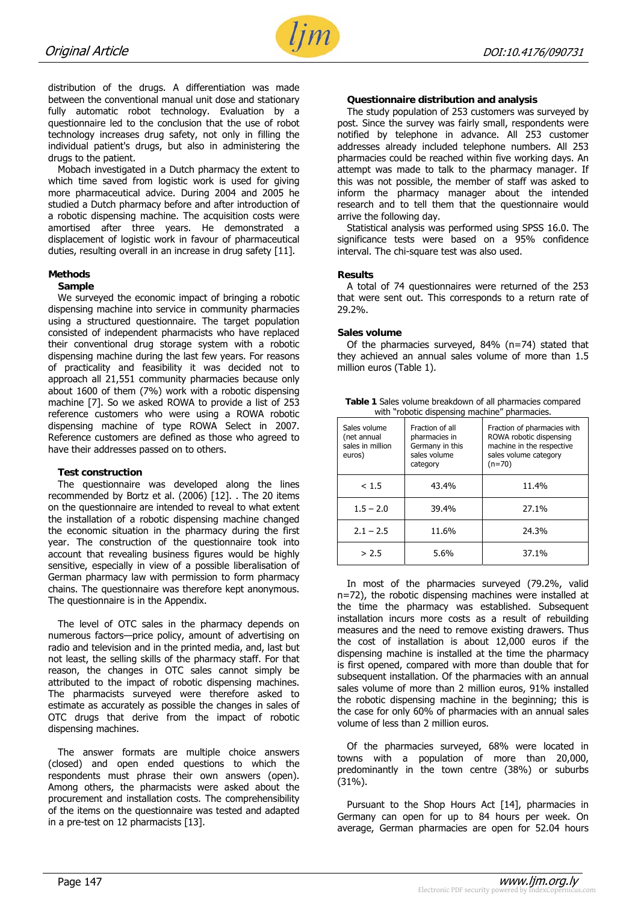

distribution of the drugs. A differentiation was made between the conventional manual unit dose and stationary fully automatic robot technology. Evaluation by a questionnaire led to the conclusion that the use of robot technology increases drug safety, not only in filling the individual patient's drugs, but also in administering the drugs to the patient.

Mobach investigated in a Dutch pharmacy the extent to which time saved from logistic work is used for giving more pharmaceutical advice. During 2004 and 2005 he studied a Dutch pharmacy before and after introduction of a robotic dispensing machine. The acquisition costs were amortised after three years. He demonstrated a displacement of logistic work in favour of pharmaceutical duties, resulting overall in an increase in drug safety [11].

#### **Methods**

#### **Sample**

We surveyed the economic impact of bringing a robotic dispensing machine into service in community pharmacies using a structured questionnaire. The target population consisted of independent pharmacists who have replaced their conventional drug storage system with a robotic dispensing machine during the last few years. For reasons of practicality and feasibility it was decided not to approach all 21,551 community pharmacies because only about 1600 of them (7%) work with a robotic dispensing machine [7]. So we asked ROWA to provide a list of 253 reference customers who were using a ROWA robotic dispensing machine of type ROWA Select in 2007. Reference customers are defined as those who agreed to have their addresses passed on to others.

#### **Test construction**

The questionnaire was developed along the lines recommended by Bortz et al. (2006) [12]. . The 20 items on the questionnaire are intended to reveal to what extent the installation of a robotic dispensing machine changed the economic situation in the pharmacy during the first year. The construction of the questionnaire took into account that revealing business figures would be highly sensitive, especially in view of a possible liberalisation of German pharmacy law with permission to form pharmacy chains. The questionnaire was therefore kept anonymous. The questionnaire is in the Appendix.

The level of OTC sales in the pharmacy depends on numerous factors—price policy, amount of advertising on radio and television and in the printed media, and, last but not least, the selling skills of the pharmacy staff. For that reason, the changes in OTC sales cannot simply be attributed to the impact of robotic dispensing machines. The pharmacists surveyed were therefore asked to estimate as accurately as possible the changes in sales of OTC drugs that derive from the impact of robotic dispensing machines.

The answer formats are multiple choice answers (closed) and open ended questions to which the respondents must phrase their own answers (open). Among others, the pharmacists were asked about the procurement and installation costs. The comprehensibility of the items on the questionnaire was tested and adapted in a pre-test on 12 pharmacists [13].

#### **Questionnaire distribution and analysis**

The study population of 253 customers was surveyed by post. Since the survey was fairly small, respondents were notified by telephone in advance. All 253 customer addresses already included telephone numbers. All 253 pharmacies could be reached within five working days. An attempt was made to talk to the pharmacy manager. If this was not possible, the member of staff was asked to inform the pharmacy manager about the intended research and to tell them that the questionnaire would arrive the following day.

Statistical analysis was performed using SPSS 16.0. The significance tests were based on a 95% confidence interval. The chi-square test was also used.

#### **Results**

A total of 74 questionnaires were returned of the 253 that were sent out. This corresponds to a return rate of 29.2%.

#### **Sales volume**

Of the pharmacies surveyed, 84% (n=74) stated that they achieved an annual sales volume of more than 1.5 million euros (Table 1).

| Table 1 Sales volume breakdown of all pharmacies compared |
|-----------------------------------------------------------|
| with "robotic dispensing machine" pharmacies.             |

| Sales volume<br>(net annual<br>sales in million<br>euros) | Fraction of all<br>pharmacies in<br>Germany in this<br>sales volume<br>category | Fraction of pharmacies with<br>ROWA robotic dispensing<br>machine in the respective<br>sales volume category<br>$(n=70)$ |  |  |
|-----------------------------------------------------------|---------------------------------------------------------------------------------|--------------------------------------------------------------------------------------------------------------------------|--|--|
| < 1.5                                                     | 43.4%                                                                           | 11.4%                                                                                                                    |  |  |
| $1.5 - 2.0$                                               | 39.4%                                                                           | 27.1%                                                                                                                    |  |  |
| $2.1 - 2.5$                                               | 11.6%                                                                           | 24.3%                                                                                                                    |  |  |
| > 2.5                                                     | 5.6%                                                                            | 37.1%                                                                                                                    |  |  |

In most of the pharmacies surveyed (79.2%, valid n=72), the robotic dispensing machines were installed at the time the pharmacy was established. Subsequent installation incurs more costs as a result of rebuilding measures and the need to remove existing drawers. Thus the cost of installation is about 12,000 euros if the dispensing machine is installed at the time the pharmacy is first opened, compared with more than double that for subsequent installation. Of the pharmacies with an annual sales volume of more than 2 million euros, 91% installed the robotic dispensing machine in the beginning; this is the case for only 60% of pharmacies with an annual sales volume of less than 2 million euros.

Of the pharmacies surveyed, 68% were located in towns with a population of more than 20,000, predominantly in the town centre (38%) or suburbs (31%).

Pursuant to the Shop Hours Act [14], pharmacies in Germany can open for up to 84 hours per week. On average, German pharmacies are open for 52.04 hours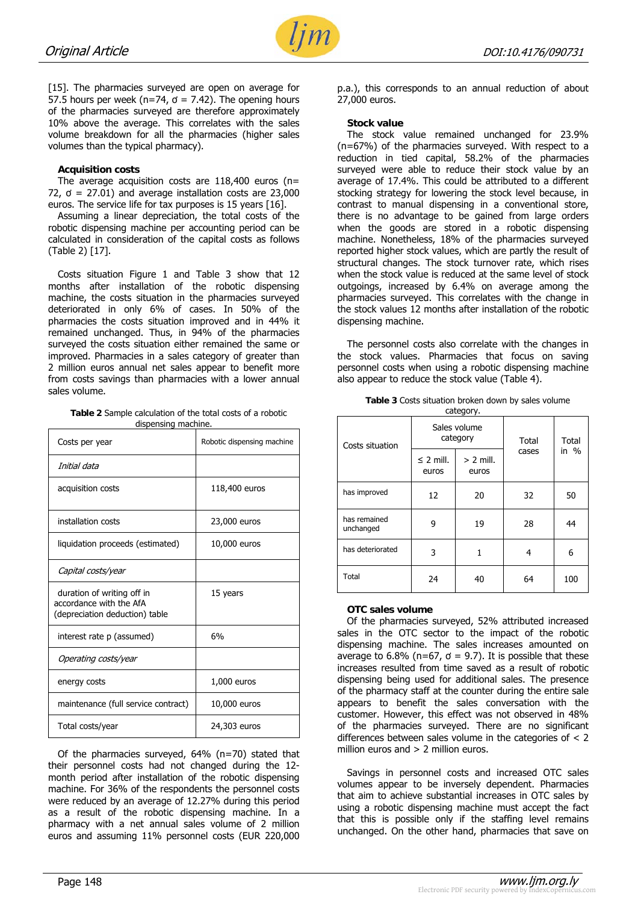

[15]. The pharmacies surveyed are open on average for 57.5 hours per week ( $n=74$ ,  $\sigma = 7.42$ ). The opening hours of the pharmacies surveyed are therefore approximately 10% above the average. This correlates with the sales volume breakdown for all the pharmacies (higher sales volumes than the typical pharmacy).

#### **Acquisition costs**

The average acquisition costs are  $118,400$  euros (n= 72,  $\sigma$  = 27.01) and average installation costs are 23,000 euros. The service life for tax purposes is 15 years [16].

Assuming a linear depreciation, the total costs of the robotic dispensing machine per accounting period can be calculated in consideration of the capital costs as follows (Table 2) [17].

Costs situation Figure 1 and Table 3 show that 12 months after installation of the robotic dispensing machine, the costs situation in the pharmacies surveyed deteriorated in only 6% of cases. In 50% of the pharmacies the costs situation improved and in 44% it remained unchanged. Thus, in 94% of the pharmacies surveyed the costs situation either remained the same or improved. Pharmacies in a sales category of greater than 2 million euros annual net sales appear to benefit more from costs savings than pharmacies with a lower annual sales volume.

**Table 2** Sample calculation of the total costs of a robotic dispensing machine.

| Costs per year                                                                          | Robotic dispensing machine |  |  |
|-----------------------------------------------------------------------------------------|----------------------------|--|--|
| Initial data                                                                            |                            |  |  |
| acquisition costs                                                                       | 118,400 euros              |  |  |
| installation costs                                                                      | 23,000 euros               |  |  |
| liquidation proceeds (estimated)                                                        | 10,000 euros               |  |  |
| Capital costs/year                                                                      |                            |  |  |
| duration of writing off in<br>accordance with the AfA<br>(depreciation deduction) table | 15 years                   |  |  |
| interest rate p (assumed)                                                               | 6%                         |  |  |
| Operating costs/year                                                                    |                            |  |  |
| energy costs                                                                            | 1,000 euros                |  |  |
| maintenance (full service contract)                                                     | 10,000 euros               |  |  |
| Total costs/year                                                                        | 24,303 euros               |  |  |

Of the pharmacies surveyed, 64% (n=70) stated that their personnel costs had not changed during the 12 month period after installation of the robotic dispensing machine. For 36% of the respondents the personnel costs were reduced by an average of 12.27% during this period as a result of the robotic dispensing machine. In a pharmacy with a net annual sales volume of 2 million euros and assuming 11% personnel costs (EUR 220,000

p.a.), this corresponds to an annual reduction of about 27,000 euros.

#### **Stock value**

The stock value remained unchanged for 23.9% (n=67%) of the pharmacies surveyed. With respect to a reduction in tied capital, 58.2% of the pharmacies surveyed were able to reduce their stock value by an average of 17.4%. This could be attributed to a different stocking strategy for lowering the stock level because, in contrast to manual dispensing in a conventional store, there is no advantage to be gained from large orders when the goods are stored in a robotic dispensing machine. Nonetheless, 18% of the pharmacies surveyed reported higher stock values, which are partly the result of structural changes. The stock turnover rate, which rises when the stock value is reduced at the same level of stock outgoings, increased by 6.4% on average among the pharmacies surveyed. This correlates with the change in the stock values 12 months after installation of the robotic dispensing machine.

The personnel costs also correlate with the changes in the stock values. Pharmacies that focus on saving personnel costs when using a robotic dispensing machine also appear to reduce the stock value (Table 4).

| Costs situation           |                         | Sales volume<br>category | Total | Total<br>in $%$ |
|---------------------------|-------------------------|--------------------------|-------|-----------------|
|                           | $\leq$ 2 mill.<br>euros | $> 2$ mill.<br>euros     | cases |                 |
| has improved              | 12                      | 20                       | 32    | 50              |
| has remained<br>unchanged | ٩                       | 19                       | 28    | 44              |
| has deteriorated          | 3                       | 1                        | 4     | 6               |
| Total                     | 24<br>40                |                          | 64    | 100             |

**Table 3** Costs situation broken down by sales volume category.

## **OTC sales volume**

Of the pharmacies surveyed, 52% attributed increased sales in the OTC sector to the impact of the robotic dispensing machine. The sales increases amounted on average to 6.8% (n=67,  $\sigma$  = 9.7). It is possible that these increases resulted from time saved as a result of robotic dispensing being used for additional sales. The presence of the pharmacy staff at the counter during the entire sale appears to benefit the sales conversation with the customer. However, this effect was not observed in 48% of the pharmacies surveyed. There are no significant differences between sales volume in the categories of < 2 million euros and  $> 2$  million euros.

Savings in personnel costs and increased OTC sales volumes appear to be inversely dependent. Pharmacies that aim to achieve substantial increases in OTC sales by using a robotic dispensing machine must accept the fact that this is possible only if the staffing level remains unchanged. On the other hand, pharmacies that save on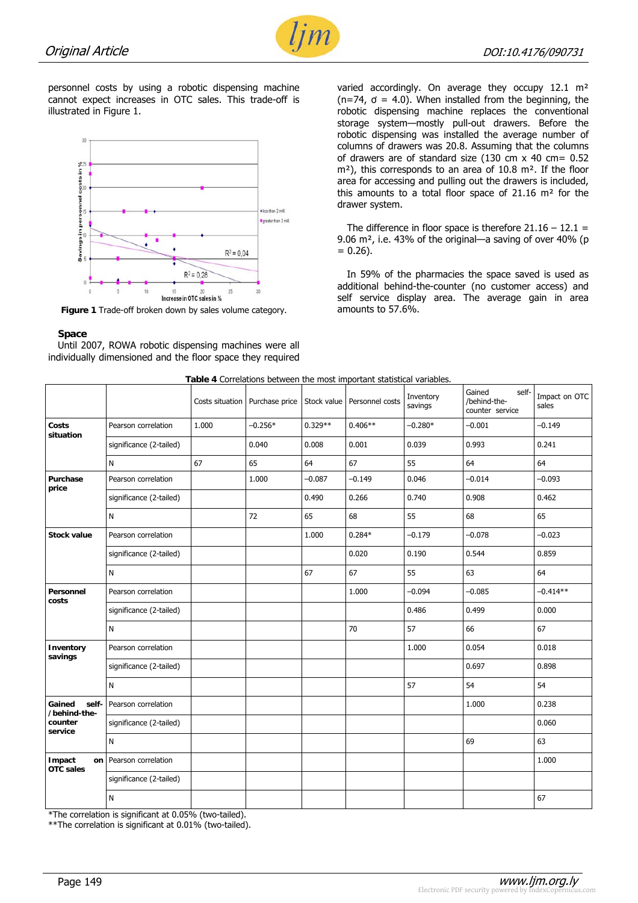

personnel costs by using a robotic dispensing machine cannot expect increases in OTC sales. This trade-off is illustrated in Figure 1.



**Figure 1** Trade-off broken down by sales volume category.

#### **Space**

Until 2007, ROWA robotic dispensing machines were all individually dimensioned and the floor space they required varied accordingly. On average they occupy 12.1 m<sup>2</sup>  $(n=74, \sigma = 4.0)$ . When installed from the beginning, the robotic dispensing machine replaces the conventional storage system—mostly pull-out drawers. Before the robotic dispensing was installed the average number of columns of drawers was 20.8. Assuming that the columns of drawers are of standard size (130 cm x 40 cm= 0.52 m<sup>2</sup>), this corresponds to an area of 10.8 m<sup>2</sup>. If the floor area for accessing and pulling out the drawers is included, this amounts to a total floor space of 21.16 m² for the drawer system.

The difference in floor space is therefore  $21.16 - 12.1 =$ 9.06 m², i.e. 43% of the original—a saving of over 40% (p  $= 0.26$ ).

In 59% of the pharmacies the space saved is used as additional behind-the-counter (no customer access) and self service display area. The average gain in area amounts to 57.6%.

| Table 4 Correlations between the most important statistical variables. |  |  |
|------------------------------------------------------------------------|--|--|
|                                                                        |  |  |

|                                                       |                         |       |                                  |             | <b>Table 4</b> Correlations between the most important statistical variables. |                      |                                                    |                        |
|-------------------------------------------------------|-------------------------|-------|----------------------------------|-------------|-------------------------------------------------------------------------------|----------------------|----------------------------------------------------|------------------------|
|                                                       |                         |       | Costs situation   Purchase price | Stock value | Personnel costs                                                               | Inventory<br>savings | self-<br>Gained<br>/behind-the-<br>counter service | Impact on OTC<br>sales |
| Costs<br>situation                                    | Pearson correlation     | 1.000 | $-0.256*$                        | $0.329**$   | $0.406**$                                                                     | $-0.280*$            | $-0.001$                                           | $-0.149$               |
|                                                       | significance (2-tailed) |       | 0.040                            | 0.008       | 0.001                                                                         | 0.039                | 0.993                                              | 0.241                  |
|                                                       | N                       | 67    | 65                               | 64          | 67                                                                            | 55                   | 64                                                 | 64                     |
| Purchase<br>price                                     | Pearson correlation     |       | 1.000                            | $-0.087$    | $-0.149$                                                                      | 0.046                | $-0.014$                                           | $-0.093$               |
|                                                       | significance (2-tailed) |       |                                  | 0.490       | 0.266                                                                         | 0.740                | 0.908                                              | 0.462                  |
|                                                       | N                       |       | 72                               | 65          | 68                                                                            | 55                   | 68                                                 | 65                     |
| <b>Stock value</b>                                    | Pearson correlation     |       |                                  | 1.000       | $0.284*$                                                                      | $-0.179$             | $-0.078$                                           | $-0.023$               |
|                                                       | significance (2-tailed) |       |                                  |             | 0.020                                                                         | 0.190                | 0.544                                              | 0.859                  |
|                                                       | N                       |       |                                  | 67          | 67                                                                            | 55                   | 63                                                 | 64                     |
| Personnel<br>costs                                    | Pearson correlation     |       |                                  |             | 1.000                                                                         | $-0.094$             | $-0.085$                                           | $-0.414**$             |
|                                                       | significance (2-tailed) |       |                                  |             |                                                                               | 0.486                | 0.499                                              | 0.000                  |
|                                                       | N                       |       |                                  |             | 70                                                                            | 57                   | 66                                                 | 67                     |
| Inventory<br>savings                                  | Pearson correlation     |       |                                  |             |                                                                               | 1.000                | 0.054                                              | 0.018                  |
|                                                       | significance (2-tailed) |       |                                  |             |                                                                               |                      | 0.697                                              | 0.898                  |
|                                                       | N                       |       |                                  |             |                                                                               | 57                   | 54                                                 | 54                     |
| Gained<br>self-<br>/behind-the-<br>counter<br>service | Pearson correlation     |       |                                  |             |                                                                               |                      | 1.000                                              | 0.238                  |
|                                                       | significance (2-tailed) |       |                                  |             |                                                                               |                      |                                                    | 0.060                  |
|                                                       | N                       |       |                                  |             |                                                                               |                      | 69                                                 | 63                     |
| Impact<br>on<br><b>OTC</b> sales                      | Pearson correlation     |       |                                  |             |                                                                               |                      |                                                    | 1.000                  |
|                                                       | significance (2-tailed) |       |                                  |             |                                                                               |                      |                                                    |                        |
|                                                       | Ν                       |       |                                  |             |                                                                               |                      |                                                    | 67                     |

\*The correlation is significant at 0.05% (two-tailed).

\*\*The correlation is significant at 0.01% (two-tailed).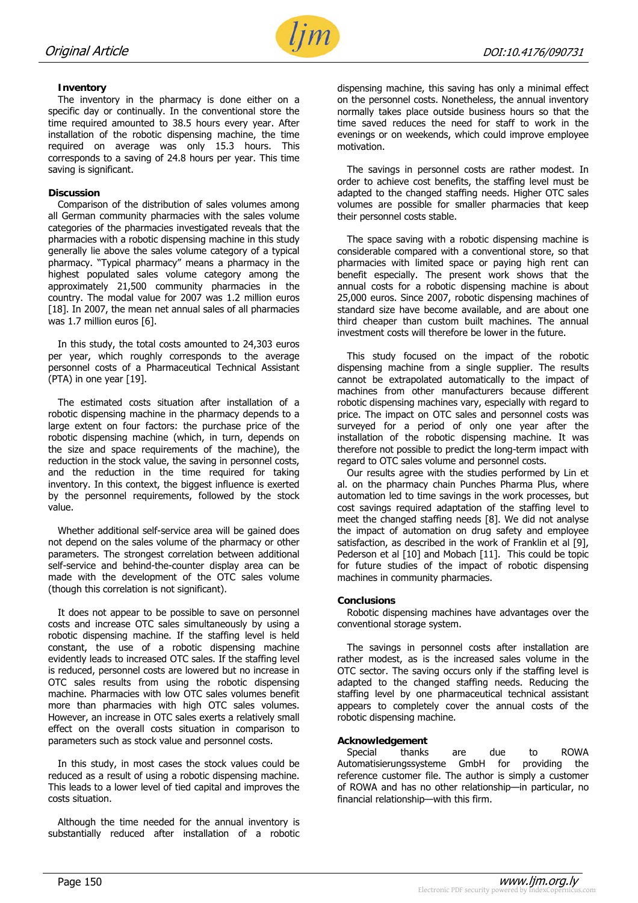

### **Inventory**

The inventory in the pharmacy is done either on a specific day or continually. In the conventional store the time required amounted to 38.5 hours every year. After installation of the robotic dispensing machine, the time required on average was only 15.3 hours. This corresponds to a saving of 24.8 hours per year. This time saving is significant.

#### **Discussion**

Comparison of the distribution of sales volumes among all German community pharmacies with the sales volume categories of the pharmacies investigated reveals that the pharmacies with a robotic dispensing machine in this study generally lie above the sales volume category of a typical pharmacy. "Typical pharmacy" means a pharmacy in the highest populated sales volume category among the approximately 21,500 community pharmacies in the country. The modal value for 2007 was 1.2 million euros [18]. In 2007, the mean net annual sales of all pharmacies was 1.7 million euros [6].

In this study, the total costs amounted to 24,303 euros per year, which roughly corresponds to the average personnel costs of a Pharmaceutical Technical Assistant (PTA) in one year [19].

The estimated costs situation after installation of a robotic dispensing machine in the pharmacy depends to a large extent on four factors: the purchase price of the robotic dispensing machine (which, in turn, depends on the size and space requirements of the machine), the reduction in the stock value, the saving in personnel costs, and the reduction in the time required for taking inventory. In this context, the biggest influence is exerted by the personnel requirements, followed by the stock value.

Whether additional self-service area will be gained does not depend on the sales volume of the pharmacy or other parameters. The strongest correlation between additional self-service and behind-the-counter display area can be made with the development of the OTC sales volume (though this correlation is not significant).

It does not appear to be possible to save on personnel costs and increase OTC sales simultaneously by using a robotic dispensing machine. If the staffing level is held constant, the use of a robotic dispensing machine evidently leads to increased OTC sales. If the staffing level is reduced, personnel costs are lowered but no increase in OTC sales results from using the robotic dispensing machine. Pharmacies with low OTC sales volumes benefit more than pharmacies with high OTC sales volumes. However, an increase in OTC sales exerts a relatively small effect on the overall costs situation in comparison to parameters such as stock value and personnel costs.

In this study, in most cases the stock values could be reduced as a result of using a robotic dispensing machine. This leads to a lower level of tied capital and improves the costs situation.

Although the time needed for the annual inventory is substantially reduced after installation of a robotic dispensing machine, this saving has only a minimal effect on the personnel costs. Nonetheless, the annual inventory normally takes place outside business hours so that the time saved reduces the need for staff to work in the evenings or on weekends, which could improve employee motivation.

The savings in personnel costs are rather modest. In order to achieve cost benefits, the staffing level must be adapted to the changed staffing needs. Higher OTC sales volumes are possible for smaller pharmacies that keep their personnel costs stable.

The space saving with a robotic dispensing machine is considerable compared with a conventional store, so that pharmacies with limited space or paying high rent can benefit especially. The present work shows that the annual costs for a robotic dispensing machine is about 25,000 euros. Since 2007, robotic dispensing machines of standard size have become available, and are about one third cheaper than custom built machines. The annual investment costs will therefore be lower in the future.

This study focused on the impact of the robotic dispensing machine from a single supplier. The results cannot be extrapolated automatically to the impact of machines from other manufacturers because different robotic dispensing machines vary, especially with regard to price. The impact on OTC sales and personnel costs was surveyed for a period of only one year after the installation of the robotic dispensing machine. It was therefore not possible to predict the long-term impact with regard to OTC sales volume and personnel costs.

Our results agree with the studies performed by Lin et al. on the pharmacy chain Punches Pharma Plus, where automation led to time savings in the work processes, but cost savings required adaptation of the staffing level to meet the changed staffing needs [8]. We did not analyse the impact of automation on drug safety and employee satisfaction, as described in the work of Franklin et al [9], Pederson et al [10] and Mobach [11]. This could be topic for future studies of the impact of robotic dispensing machines in community pharmacies.

#### **Conclusions**

Robotic dispensing machines have advantages over the conventional storage system.

The savings in personnel costs after installation are rather modest, as is the increased sales volume in the OTC sector. The saving occurs only if the staffing level is adapted to the changed staffing needs. Reducing the staffing level by one pharmaceutical technical assistant appears to completely cover the annual costs of the robotic dispensing machine.

#### **Acknowledgement**

Special thanks are due to ROWA Automatisierungssysteme GmbH for providing the reference customer file. The author is simply a customer of ROWA and has no other relationship—in particular, no financial relationship—with this firm.